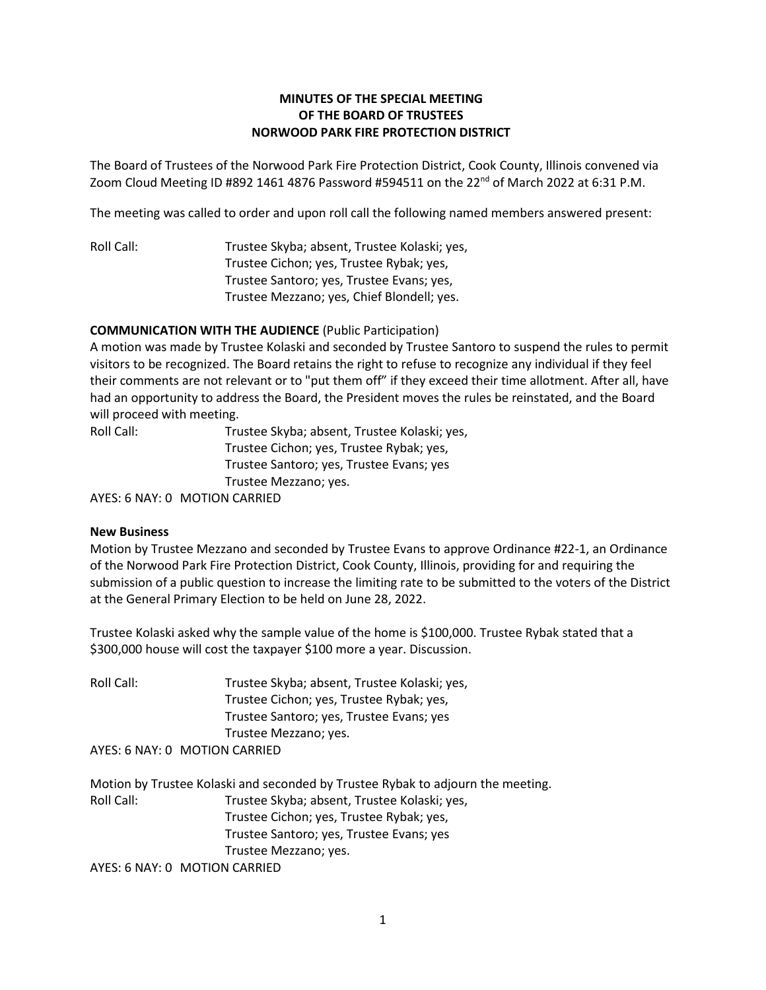## **MINUTES OF THE SPECIAL MEETING OF THE BOARD OF TRUSTEES NORWOOD PARK FIRE PROTECTION DISTRICT**

The Board of Trustees of the Norwood Park Fire Protection District, Cook County, Illinois convened via Zoom Cloud Meeting ID #892 1461 4876 Password #594511 on the 22<sup>nd</sup> of March 2022 at 6:31 P.M.

The meeting was called to order and upon roll call the following named members answered present:

Roll Call: Trustee Skyba; absent, Trustee Kolaski; yes, Trustee Cichon; yes, Trustee Rybak; yes, Trustee Santoro; yes, Trustee Evans; yes, Trustee Mezzano; yes, Chief Blondell; yes.

## **COMMUNICATION WITH THE AUDIENCE** (Public Participation)

A motion was made by Trustee Kolaski and seconded by Trustee Santoro to suspend the rules to permit visitors to be recognized. The Board retains the right to refuse to recognize any individual if they feel their comments are not relevant or to "put them off" if they exceed their time allotment. After all, have had an opportunity to address the Board, the President moves the rules be reinstated, and the Board will proceed with meeting.

| Roll Call: | Trustee Skyba; absent, Trustee Kolaski; yes, |
|------------|----------------------------------------------|
|            | Trustee Cichon; yes, Trustee Rybak; yes,     |
|            | Trustee Santoro; yes, Trustee Evans; yes     |
|            | Trustee Mezzano; yes.                        |
|            |                                              |

AYES: 6 NAY: 0 MOTION CARRIED

## **New Business**

Motion by Trustee Mezzano and seconded by Trustee Evans to approve Ordinance #22-1, an Ordinance of the Norwood Park Fire Protection District, Cook County, Illinois, providing for and requiring the submission of a public question to increase the limiting rate to be submitted to the voters of the District at the General Primary Election to be held on June 28, 2022.

Trustee Kolaski asked why the sample value of the home is \$100,000. Trustee Rybak stated that a \$300,000 house will cost the taxpayer \$100 more a year. Discussion.

Roll Call: Trustee Skyba; absent, Trustee Kolaski; yes, Trustee Cichon; yes, Trustee Rybak; yes, Trustee Santoro; yes, Trustee Evans; yes Trustee Mezzano; yes. AYES: 6 NAY: 0 MOTION CARRIED

Motion by Trustee Kolaski and seconded by Trustee Rybak to adjourn the meeting. Roll Call: Trustee Skyba; absent, Trustee Kolaski; yes, Trustee Cichon; yes, Trustee Rybak; yes, Trustee Santoro; yes, Trustee Evans; yes Trustee Mezzano; yes.

AYES: 6 NAY: 0 MOTION CARRIED